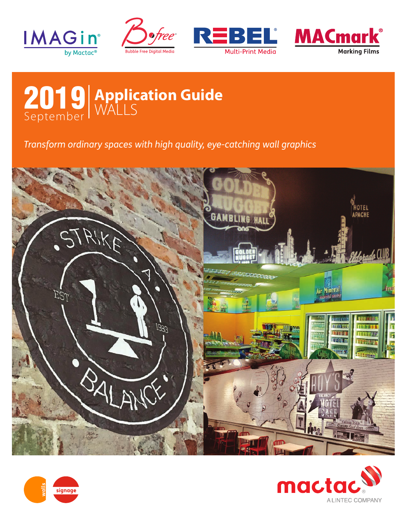









*Transform ordinary spaces with high quality, eye-catching wall graphics*





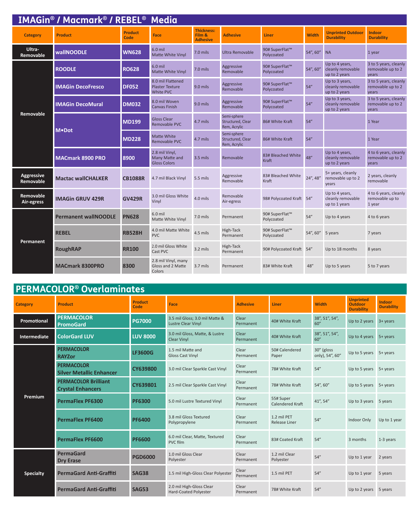|                                | <b>IMAGin<sup>®</sup> / Macmark<sup>®</sup> / REBEL<sup>®</sup> Media</b> |                        |                                                                 |                                                |                                                  |                              |              |                                                      |                                                     |  |
|--------------------------------|---------------------------------------------------------------------------|------------------------|-----------------------------------------------------------------|------------------------------------------------|--------------------------------------------------|------------------------------|--------------|------------------------------------------------------|-----------------------------------------------------|--|
| <b>Category</b>                | <b>Product</b>                                                            | <b>Product</b><br>Code | <b>Face</b>                                                     | <b>Thickness:</b><br>Film &<br><b>Adhesive</b> | <b>Adhesive</b>                                  | Liner                        | <b>Width</b> | <b>Unprinted Outdoor</b><br><b>Durability</b>        | <b>Indoor</b><br><b>Durability</b>                  |  |
| Ultra-<br>Removable            | <b>wallNOODLE</b>                                                         | <b>WN628</b>           | 6.0 mil<br>Matte White Vinyl                                    | $7.0$ mils                                     | Ultra Removable                                  | 90# SuperFlat™<br>Polycoated | 54", 60"     | <b>NA</b>                                            | 1 year                                              |  |
|                                | <b>ROODLE</b>                                                             | <b>RO628</b>           | 6.0 mil<br>Matte White Vinyl                                    | 7.0 mils                                       | Aggressive<br>Removable                          | 90# SuperFlat™<br>Polycoated | 54", 60"     | Up to 4 years,<br>cleanly removable<br>up to 2 years | 3 to 5 years, cleanly<br>removable up to 2<br>years |  |
| <b>Removable</b>               | <b>DF052</b><br><b>IMAGin DecoFresco</b>                                  |                        | 8.0 mil Flattened<br><b>Plaster Texture</b><br><b>White PVC</b> | $9.0$ mils                                     | Aggressive<br>Removable                          | 90# SuperFlat™<br>Polycoated | 54''         | Up to 3 years,<br>cleanly removable<br>up to 2 years | 3 to 5 years, cleanly<br>removable up to 2<br>vears |  |
|                                | <b>IMAGin DecoMural</b>                                                   | <b>DM032</b>           | 8.0 mil Woven<br>Canvas Finish                                  | $9.0$ mils                                     | Aggressive<br>Removable                          | 90# SuperFlat™<br>Polycoated | 54''         | Up to 3 years,<br>cleanly removable<br>up to 2 years | 3 to 5 years, cleanly<br>removable up to 2<br>years |  |
|                                | M.Dot                                                                     | <b>MD199</b>           | <b>Gloss Clear</b><br>Removable PVC                             | 4.7 mils                                       | Semi-sphere<br>Structured, Clear<br>Rem, Acrylic | 86# White Kraft              | 54''         |                                                      | 1 Year                                              |  |
|                                |                                                                           | <b>MD228</b>           | Matte White<br>Removable PVC                                    | 4.7 mils                                       | Semi-sphere<br>Structured, Clear<br>Rem, Acrylic | 86# White Kraft              | 54''         |                                                      | 1 Year                                              |  |
|                                | <b>MACmark 8900 PRO</b>                                                   | 8900                   | 2.8 mil Vinyl,<br>Many Matte and<br><b>Gloss Colors</b>         | $3.5$ mils                                     | Removable                                        | 83# Bleached White<br>Kraft  | 48''         | Up to 4 years,<br>cleanly removable<br>up to 2 years | 4 to 6 years, cleanly<br>removable up to 2<br>years |  |
| <b>Aggressive</b><br>Removable | <b>Mactac wallCHALKER</b>                                                 | <b>CB1088R</b>         | 4.7 mil Black Vinyl                                             | 5.5 mils                                       | Aggressive<br>Removable                          | 83# Bleached White<br>Kraft  | 24", 48"     | 5+ years, cleanly<br>removable up to 2<br>vears      | 2 years, cleanly<br>removable                       |  |
| Removable<br>Air-egress        | <b>IMAGin GRUV 429R</b>                                                   | <b>GV429R</b>          | 3.0 mil Gloss White<br>Vinyl                                    | 4.0 mils                                       | Removable<br>Air-egress                          | 98# Polycoated Kraft 54"     |              | Up to 4 years,<br>cleanly removable<br>up to 1 years | 4 to 6 years, cleanly<br>removable up to<br>1 year  |  |
|                                | <b>Permanent wallNOODLE</b>                                               | <b>PN628</b>           | $6.0$ mil<br>Matte White Vinyl                                  | 7.0 mils                                       | Permanent                                        | 90# SuperFlat™<br>Polycoated | 54''         | Up to 4 years                                        | 4 to 6 years                                        |  |
| <b>Permanent</b>               | <b>REBEL</b>                                                              | <b>RB528H</b>          | 4.0 mil Matte White<br><b>PVC</b>                               | 4.5 mils                                       | High-Tack<br>Permanent                           | 90# SuperFlat™<br>Polycoated | 54", 60"     | 5 years                                              | 7 years                                             |  |
|                                | <b>RoughRAP</b>                                                           | <b>RR100</b>           | 2.0 mil Gloss White<br>Cast PVC                                 | $3.2$ mils                                     | High-Tack<br>Permanent                           | 90# Polycoated Kraft 54"     |              | Up to 18 months                                      | 8 years                                             |  |
|                                | <b>MACmark 8300PRO</b>                                                    | 8300                   | 2.8 mil Vinyl, many<br>Gloss and 2 Matte<br>Colors              | $3.7$ mils                                     | Permanent                                        | 83# White Kraft              | 48''         | Up to 5 years                                        | 5 to 7 years                                        |  |

# **PERMACOLOR® Overlaminates**

| <b>Category</b>  | <b>Product</b>                                          | <b>Product</b><br>Code | Face                                                        | <b>Adhesive</b>    | <b>Liner</b>                  | <b>Width</b>                  | <b>Unprinted</b><br><b>Outdoor</b><br><b>Durability</b> | <b>Indoor</b><br><b>Durability</b> |
|------------------|---------------------------------------------------------|------------------------|-------------------------------------------------------------|--------------------|-------------------------------|-------------------------------|---------------------------------------------------------|------------------------------------|
| Promotional      | <b>PERMACOLOR</b><br><b>PromoGard</b>                   | <b>PG7000</b>          | 3.5 mil Gloss; 3.0 mil Matte &<br><b>Lustre Clear Vinyl</b> | Clear<br>Permanent | 40# White Kraft               | 38", 51", 54",<br>60''        | Up to 2 years                                           | $3 + \gamma$ ears                  |
| Intermediate     | <b>ColorGard LUV</b>                                    | <b>LUV 8000</b>        | 3.0 mil Gloss, Matte, & Lustre<br><b>Clear Vinyl</b>        | Clear<br>Permanent | 40# White Kraft               | 38", 51", 54",<br>60''        | Up to 4 years 5+ years                                  |                                    |
| Premium          | <b>PERMACOLOR</b><br><b>RAYZor</b>                      | <b>LF3600G</b>         | 1.5 mil Matte and<br><b>Gloss Cast Vinyl</b>                | Clear<br>Permanent | 50# Calendered<br>Paper       | 30" (gloss<br>only), 54", 60" | Up to 5 years $5+$ years                                |                                    |
|                  | <b>PERMACOLOR</b><br><b>Silver Metallic Enhancer</b>    | <b>CY639800</b>        | 3.0 mil Clear Sparkle Cast Vinyl                            | Clear<br>Permanent | 78# White Kraft               | 54''                          | Up to 5 years $5+$ years                                |                                    |
|                  | <b>PERMACOLOR Brilliant</b><br><b>Crystal Enhancers</b> | CY639801               | 2.5 mil Clear Sparkle Cast Vinyl                            | Clear<br>Permanent | 78# White Kraft               | 54", 60"                      | Up to 5 years $5+$ years                                |                                    |
|                  | <b>PermaFlex PF6300</b>                                 | <b>PF6300</b>          | 5.0 mil Lustre Textured Vinyl                               | Clear<br>Permanent | 55# Super<br>Calendered Kraft | 41", 54"                      | Up to 3 years 5 years                                   |                                    |
|                  | <b>PermaFlex PF6400</b>                                 | <b>PF6400</b>          | 3.8 mil Gloss Textured<br>Polypropylene                     | Clear<br>Permanent | 1.2 mil PET<br>Release Liner  | 54''                          | Indoor Only                                             | Up to 1 year                       |
|                  | <b>PermaFlex PF6600</b>                                 | <b>PF6600</b>          | 6.0 mil Clear, Matte, Textured<br>PVC film                  | Clear<br>Permanent | 83# Coated Kraft              | 54''                          | 3 months                                                | 1-3 years                          |
|                  | <b>PermaGard</b><br><b>Dry Erase</b>                    | <b>PGD6000</b>         | 1.0 mil Gloss Clear<br>Polyester                            | Clear<br>Permanent | 1.2 mil Clear<br>Polyester    | 54''                          | Up to 1 year                                            | 2 years                            |
| <b>Specialty</b> | <b>PermaGard Anti-Graffiti</b>                          | <b>SAG38</b>           | 1.5 mil High-Gloss Clear Polyester                          | Clear<br>Permanent | 1.5 mil PET                   | 54''                          | Up to 1 year                                            | 5 years                            |
|                  | <b>PermaGard Anti-Graffiti</b>                          | <b>SAG53</b>           | 2.0 mil High-Gloss Clear<br>Hard-Coated Polyester           | Clear<br>Permanent | 78# White Kraft               | 54''                          | Up to $2$ years $5$ years                               |                                    |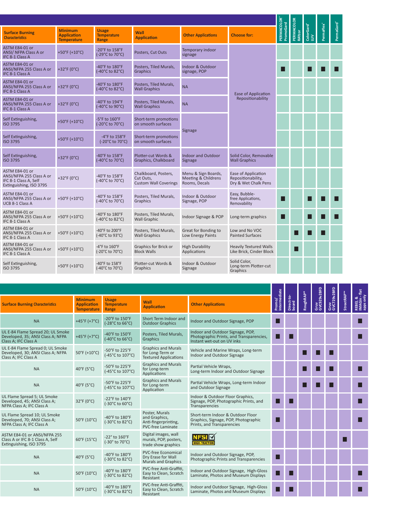| <b>Surface Burning</b><br><b>Characteristics</b>                                               | <b>Minimum</b><br><b>Application</b><br><b>Temperature</b> | <b>Usage</b><br><b>Temperature</b><br>Range            | <b>Wall</b><br><b>Application</b>                                 | <b>Other Applications</b>                                   | <b>Choose for:</b>                                                | PERMACOLOR <sup>®</sup><br>PromoGard | ERMACOLOR | Gard <sup>®</sup><br>$\frac{8}{3}$ $\geq$ |  |
|------------------------------------------------------------------------------------------------|------------------------------------------------------------|--------------------------------------------------------|-------------------------------------------------------------------|-------------------------------------------------------------|-------------------------------------------------------------------|--------------------------------------|-----------|-------------------------------------------|--|
| ASTM E84-01 or<br>ANSI/ NFPA Class A or<br>IFC 8-1 Class A                                     | +50°F (+10°C)                                              | -20°F to 158°F<br>(-29°C to 70°C)                      | Posters, Cut Outs                                                 | Temporary indoor<br>signage                                 |                                                                   |                                      |           |                                           |  |
| ASTM E84-01 or<br>ANSI/NFPA 255 Class A or<br>IFC 8-1 Class A                                  | +32°F ( $0^{\circ}$ C)                                     | -40°F to 180°F<br>(-40°C to 82°C)                      | Posters, Tiled Murals,<br>Graphics                                | Indoor & Outdoor<br>signage, POP                            |                                                                   | П                                    |           |                                           |  |
| <b>ASTM E84-01 or</b><br>ANSI/NFPA 255 Class A or<br>IFC 8-1 Class A                           | $+32^{\circ}F(0^{\circ}C)$                                 | -40°F to 180°F<br>(-40°C to 82°C)                      | Posters, Tiled Murals,<br><b>Wall Graphics</b>                    | <b>NA</b>                                                   | <b>Ease of Application</b>                                        |                                      |           |                                           |  |
| ASTM E84-01 or<br>ANSI/NFPA 255 Class A or<br>IFC 8-1 Class A                                  | $+32^{\circ}F(0^{\circ}C)$                                 | -40°F to 194°F<br>$(-40^{\circ}$ C to 90 $^{\circ}$ C) | Posters, Tiled Murals,<br><b>Wall Graphics</b>                    | <b>NA</b>                                                   | Repositionability                                                 |                                      |           |                                           |  |
| Self Extinguishing,<br><b>ISO 3795</b>                                                         | +50°F (+10°C)                                              | $-5^{\circ}$ F to $160^{\circ}$ F<br>(-20°C to 70°C)   | Short-term promotions<br>on smooth surfaces                       |                                                             |                                                                   |                                      |           |                                           |  |
| Self Extinguishing,<br><b>ISO 3795</b>                                                         | +50°F (+10°C)                                              | -4°F to 158°F<br>(-20°C to 70°C)                       | Short-term promotions<br>on smooth surfaces                       | Signage                                                     |                                                                   |                                      |           |                                           |  |
| Self Extinguishing,<br><b>ISO 3795</b>                                                         | +32°F (0°C)                                                | -40°F to 158°F<br>(-40°C to 70°C)                      | Plotter-cut Words &<br>Graphics, Chalkboard                       | <b>Indoor and Outdoor</b><br>Signage                        | Solid Color, Removable<br><b>Wall Graphics</b>                    |                                      |           |                                           |  |
| ASTM E84-01 or<br>ANSI/NFPA 255 Class A or<br>IFC 8-1 Class A, Self<br>Extinguishing, ISO 3795 | +32°F (0°C)                                                | -40°F to 158°F<br>(-40°C to 70°C)                      | Chalkboard, Posters,<br>Cut Outs,<br><b>Custom Wall Coverings</b> | Menu & Sign Boards,<br>Meeting & Childrens<br>Rooms, Decals | Ease of Application<br>Repositionability,<br>Dry & Wet Chalk Pens |                                      |           |                                           |  |
| ASTM E84-01 or<br>ANSI/NFPA 255 Class A or<br><b>UCB 8-1 Class A</b>                           | +50°F (+10°C)                                              | -40°F to 158°F<br>(-40°C to 70°C)                      | Posters, Tiled Murals,<br>Graphics                                | Indoor & Outdoor<br>Signage, POP                            | Easy, Bubble-<br>free Applications,<br>Removability               | ш                                    |           |                                           |  |
| ASTM E84-01 or<br>ANSI/NFPA 255 Class A or<br>IFC 8-1 Class A                                  | +50°F (+10°C)                                              | -40°F to 180°F<br>(-40°C to 82°C)                      | Posters, Tiled Murals,<br><b>Wall Graphic</b>                     | Indoor Signage & POP                                        | Long-term graphics                                                | П                                    |           |                                           |  |
| ASTM E84-01 or<br>ANSI/NFPA 255 Class A or<br>IFC 8-1 Class A                                  | +50°F (+10°C)                                              | -40°F to 200°F<br>$(-40^{\circ}$ C to 93 $^{\circ}$ C) | Posters, Tiled Murals,<br><b>Wall Graphics</b>                    | Great for Bonding to<br>Low Energy Paints                   | Low and No VOC<br><b>Painted Surfaces</b>                         |                                      |           |                                           |  |
| ASTM E84-01 or<br>ANSI/NFPA 255 Class A or<br>IFC 8-1 Class A                                  | +50°F (+10°C)                                              | $-4$ °F to $160$ °F<br>(-20°C to 70°C)                 | Graphics for Brick or<br><b>Block Walls</b>                       | <b>High Durability</b><br>Applications                      | <b>Heavily Textured Walls</b><br>Like Brick, Cinder Block         |                                      | ш         |                                           |  |
| Self Extinguishing,<br>ISO 3795                                                                | +50°F (+10°C)                                              | -40°F to 158°F<br>(-40°C to 70°C)                      | Plotter-cut Words &<br>Graphics                                   | Indoor & Outdoor<br>Signage                                 | Solid Color,<br>Long-term Plotter-cut<br>Graphics                 |                                      |           |                                           |  |

| <b>Minimum</b><br><b>Application</b><br><b>Temperature</b> | <b>Usage</b><br><b>Temperature</b><br>Range | Wall<br><b>Application</b>                                                     |                                                                                                            |                           |                            |                     |           |                     |                     | REBEL &<br>IMAGin - 1<br>apps only |
|------------------------------------------------------------|---------------------------------------------|--------------------------------------------------------------------------------|------------------------------------------------------------------------------------------------------------|---------------------------|----------------------------|---------------------|-----------|---------------------|---------------------|------------------------------------|
| +45°F (+7°C)                                               | -20°F to 150°F<br>(-28°C to 66°C)           | Short Term Indoor and<br><b>Outdoor Graphics</b>                               | Indoor and Outdoor Signage, POP                                                                            |                           |                            |                     |           |                     |                     | Г                                  |
| $+45^{\circ}F(+7^{\circ}C)$                                | -40°F to 150°F<br>(-40°C to 66°C)           | Posters, Tiled Murals,<br>Graphics                                             | Indoor and Outdoor Signage, POP,<br>Photographic Prints, and Transparencies.<br>Instant wet-out on UV inks | . .                       |                            |                     |           |                     |                     | Г                                  |
| 50°F (+10°C)                                               | -50°F to 225°F<br>(-45°C to 107°C)          | <b>Graphics and Murals</b><br>for Long-Term or<br><b>Textured Applications</b> | Vehicle and Marine Wraps, Long-term<br>Indoor and Outdoor Signage                                          |                           |                            |                     |           |                     |                     |                                    |
| 40°F (5°C)                                                 | -50°F to 225°F<br>(-45°C to 107°C)          | <b>Graphics and Murals</b><br>for Long-term<br>Applications                    | Partial Vehicle Wraps,<br>Long-term Indoor and Outdoor Signage                                             |                           |                            |                     |           |                     |                     |                                    |
| 40°F (5°C)                                                 | -50°F to 225°F<br>(-45°C to 107°C)          | <b>Graphics and Murals</b><br>for Long-term<br>Application                     | Partial Vehicle Wraps, Long-term Indoor<br>and Outdoor Signage                                             |                           |                            |                     |           |                     |                     | Г                                  |
| 32°F (0°C)                                                 | -22°F to 140°F<br>(-30°C to 60°C)           |                                                                                | Indoor & Outdoor Floor Graphics,<br>Signage, POP, Photographic Prints, and<br>Transparencies               |                           |                            |                     |           |                     |                     |                                    |
| 50°F (10°C)                                                | -40°F to 180°F<br>(-30°C to 82°C)           | Poster, Murals<br>and Graphics.<br>Anti-fingerprinting,<br>PVC-free Laminate   | Short-term Indoor & Outdoor Floor<br>Graphics, Signage, POP, Photographic<br>Prints, and Transparencies    |                           |                            |                     |           |                     |                     |                                    |
| 60°F (15°C)                                                | -22° to 160°F<br>(-30° to 70°C)             | Digital images, wall<br>murals, POP, posters,<br>trade show graphics           | <b>NFS</b><br><b>IIGH-TRACTION</b>                                                                         |                           |                            |                     |           |                     |                     |                                    |
| 40°F (5°C)                                                 | -40°F to 180°F<br>(-30°C to 82°C)           | <b>PVC-free Economical</b><br>Dry Erase for Wall<br><b>Murals and Graphics</b> | Indoor and Outdoor Signage, POP,<br>Photographic Prints and Transparencies                                 |                           |                            |                     |           |                     |                     |                                    |
| 50°F (10°C)                                                | -40°F to 180°F<br>(-30°C to 82°C)           | PVC-free Anti-Graffiti,<br>Easy to Clean, Scratch<br>Resistant                 | Indoor and Outdoor Signage, High-Gloss<br>Laminate, Photos and Museum Displays                             |                           |                            |                     |           |                     |                     |                                    |
| 50°F (10°C)                                                | -40°F to 180°F<br>(-30°C to 82°C)           | PVC-free Anti-Graffiti.<br>Easy to Clean, Scratch<br>Resistant                 | Indoor and Outdoor Signage, High-Gloss<br>Laminate, Photos and Museum Displays                             |                           |                            |                     |           |                     |                     | Ш                                  |
|                                                            |                                             |                                                                                |                                                                                                            | <b>Other Applications</b> | diate<br>Promo/<br>Interme | Direct-to-<br>board | RoughRAP® | Gruv<br>GVC929v2BFD | Gruv<br>GVC729v2BFD | <b>StreetRAP</b>                   |